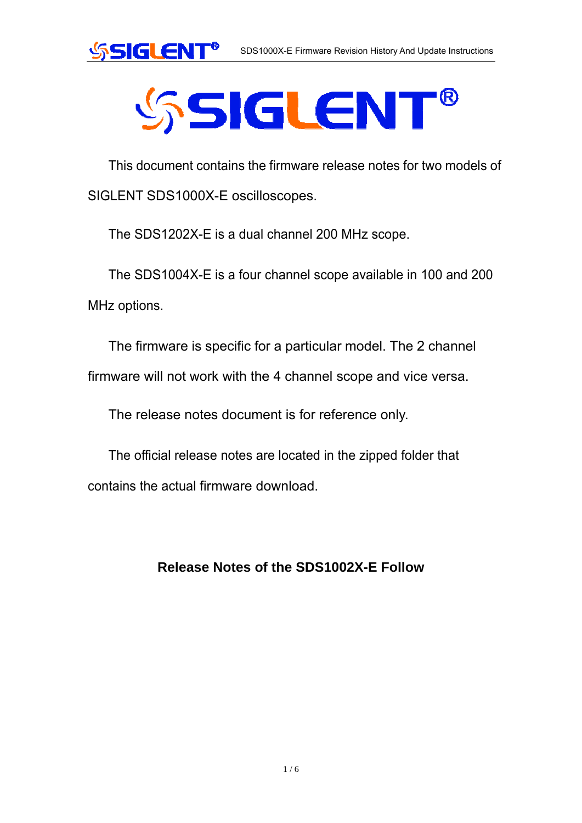



# **SSIGLENT®**

This document contains the firmware release notes for two models of SIGLENT SDS1000X-E oscilloscopes.

The SDS1202X-E is a dual channel 200 MHz scope.

The SDS1004X-E is a four channel scope available in 100 and 200 MHz options.

The firmware is specific for a particular model. The 2 channel

firmware will not work with the 4 channel scope and vice versa.

The release notes document is for reference only.

The official release notes are located in the zipped folder that contains the actual firmware download.

### **Release Notes of the SDS1002X-E Follow**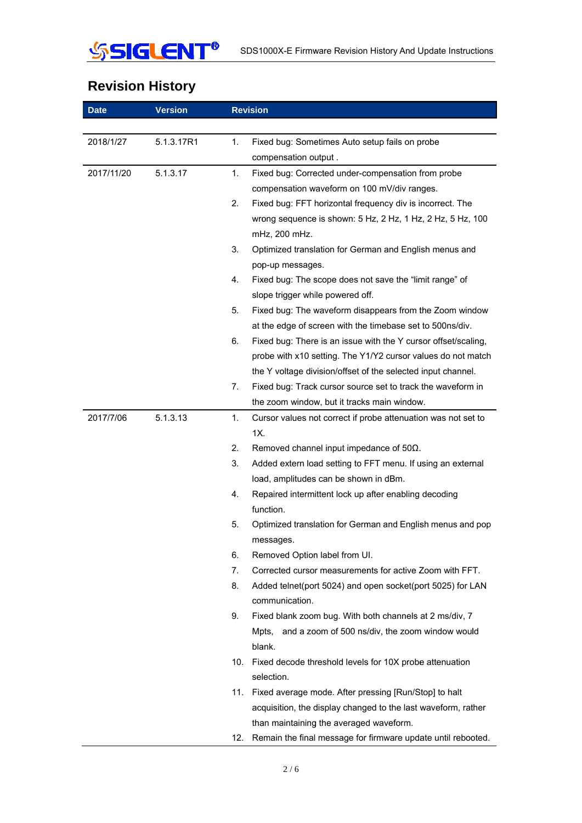

## **Revision History**

| <b>Date</b> | <b>Version</b> | <b>Revision</b>                                                      |
|-------------|----------------|----------------------------------------------------------------------|
|             |                |                                                                      |
| 2018/1/27   | 5.1.3.17R1     | 1.<br>Fixed bug: Sometimes Auto setup fails on probe                 |
|             |                | compensation output.                                                 |
| 2017/11/20  | 5.1.3.17       | 1.<br>Fixed bug: Corrected under-compensation from probe             |
|             |                | compensation waveform on 100 mV/div ranges.                          |
|             |                | 2.<br>Fixed bug: FFT horizontal frequency div is incorrect. The      |
|             |                | wrong sequence is shown: 5 Hz, 2 Hz, 1 Hz, 2 Hz, 5 Hz, 100           |
|             |                | mHz, 200 mHz.                                                        |
|             |                | 3.<br>Optimized translation for German and English menus and         |
|             |                | pop-up messages.                                                     |
|             |                | 4.<br>Fixed bug: The scope does not save the "limit range" of        |
|             |                | slope trigger while powered off.                                     |
|             |                | Fixed bug: The waveform disappears from the Zoom window<br>5.        |
|             |                | at the edge of screen with the timebase set to 500ns/div.            |
|             |                | 6.<br>Fixed bug: There is an issue with the Y cursor offset/scaling, |
|             |                | probe with x10 setting. The Y1/Y2 cursor values do not match         |
|             |                | the Y voltage division/offset of the selected input channel.         |
|             |                | Fixed bug: Track cursor source set to track the waveform in<br>7.    |
|             |                | the zoom window, but it tracks main window.                          |
| 2017/7/06   | 5.1.3.13       | 1.<br>Cursor values not correct if probe attenuation was not set to  |
|             |                | 1X.                                                                  |
|             |                | 2.<br>Removed channel input impedance of $50\Omega$ .                |
|             |                | 3.<br>Added extern load setting to FFT menu. If using an external    |
|             |                | load, amplitudes can be shown in dBm.                                |
|             |                | Repaired intermittent lock up after enabling decoding<br>4.          |
|             |                | function.                                                            |
|             |                | 5.<br>Optimized translation for German and English menus and pop     |
|             |                | messages.                                                            |
|             |                | 6.<br>Removed Option label from UI.                                  |
|             |                | Corrected cursor measurements for active Zoom with FFT.<br>7.        |
|             |                | 8.<br>Added telnet(port 5024) and open socket(port 5025) for LAN     |
|             |                | communication.                                                       |
|             |                | 9.<br>Fixed blank zoom bug. With both channels at 2 ms/div, 7        |
|             |                | Mpts, and a zoom of 500 ns/div, the zoom window would                |
|             |                | blank.                                                               |
|             |                | 10.<br>Fixed decode threshold levels for 10X probe attenuation       |
|             |                | selection.                                                           |
|             |                | Fixed average mode. After pressing [Run/Stop] to halt<br>11.         |
|             |                | acquisition, the display changed to the last waveform, rather        |
|             |                | than maintaining the averaged waveform.                              |
|             |                | 12.<br>Remain the final message for firmware update until rebooted.  |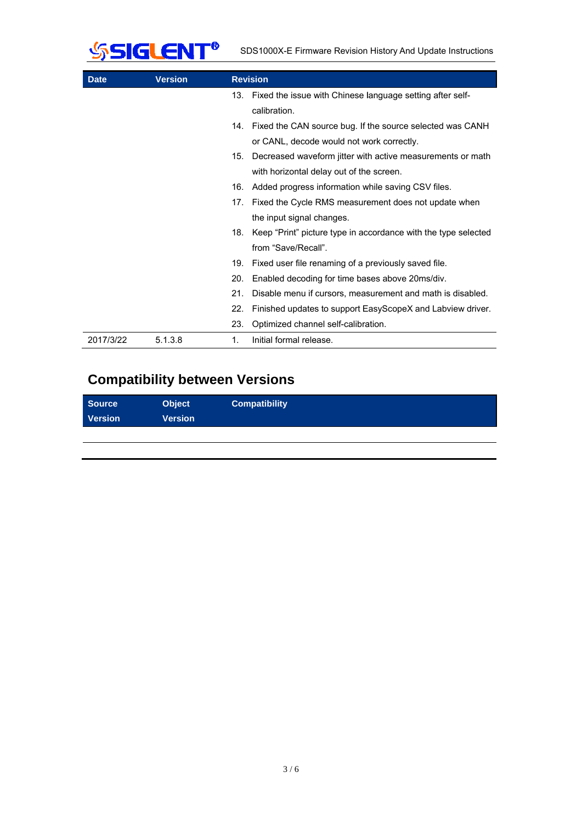

| <b>Date</b> | <b>Version</b> | <b>Revision</b>                                                       |  |
|-------------|----------------|-----------------------------------------------------------------------|--|
|             |                | 13. Fixed the issue with Chinese language setting after self-         |  |
|             |                | calibration.                                                          |  |
|             |                | Fixed the CAN source bug. If the source selected was CANH<br>14.      |  |
|             |                | or CANL, decode would not work correctly.                             |  |
|             |                | Decreased waveform jitter with active measurements or math<br>15.     |  |
|             |                | with horizontal delay out of the screen.                              |  |
|             |                | Added progress information while saving CSV files.<br>16.             |  |
|             |                | Fixed the Cycle RMS measurement does not update when<br>17.           |  |
|             |                | the input signal changes.                                             |  |
|             |                | Keep "Print" picture type in accordance with the type selected<br>18. |  |
|             |                | from "Save/Recall".                                                   |  |
|             |                | 19.<br>Fixed user file renaming of a previously saved file.           |  |
|             |                | 20.<br>Enabled decoding for time bases above 20ms/div.                |  |
|             |                | 21.<br>Disable menu if cursors, measurement and math is disabled.     |  |
|             |                | 22.<br>Finished updates to support EasyScopeX and Labview driver.     |  |
|             |                | 23.<br>Optimized channel self-calibration.                            |  |
| 2017/3/22   | 5.1.3.8        | Initial formal release.<br>1.                                         |  |

## **Compatibility between Versions**

| <b>Source</b><br><b>Version</b> | <b>Object</b><br>Version | <b>Compatibility</b> |
|---------------------------------|--------------------------|----------------------|
|                                 |                          |                      |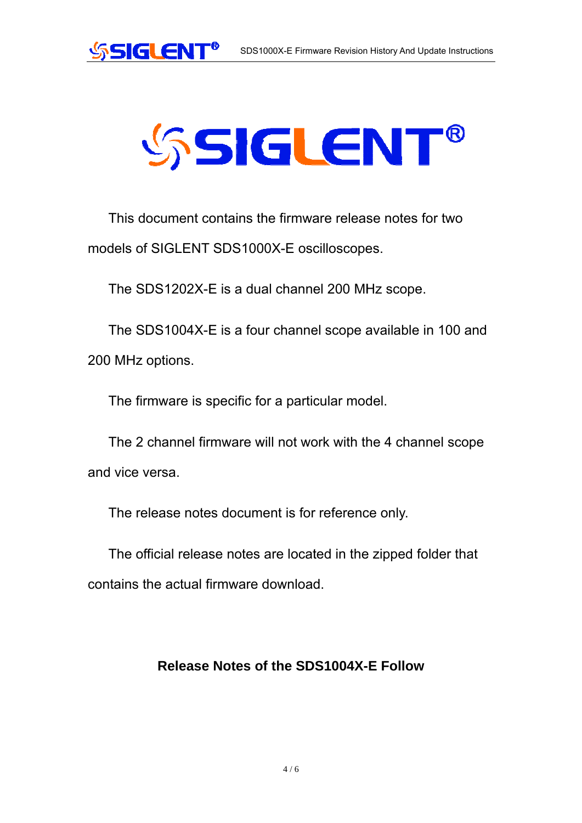

# **SSIGLENT®**

This document contains the firmware release notes for two models of SIGLENT SDS1000X-E oscilloscopes.

The SDS1202X-E is a dual channel 200 MHz scope.

The SDS1004X-E is a four channel scope available in 100 and 200 MHz options.

The firmware is specific for a particular model.

The 2 channel firmware will not work with the 4 channel scope and vice versa.

The release notes document is for reference only.

The official release notes are located in the zipped folder that contains the actual firmware download.

#### **Release Notes of the SDS1004X-E Follow**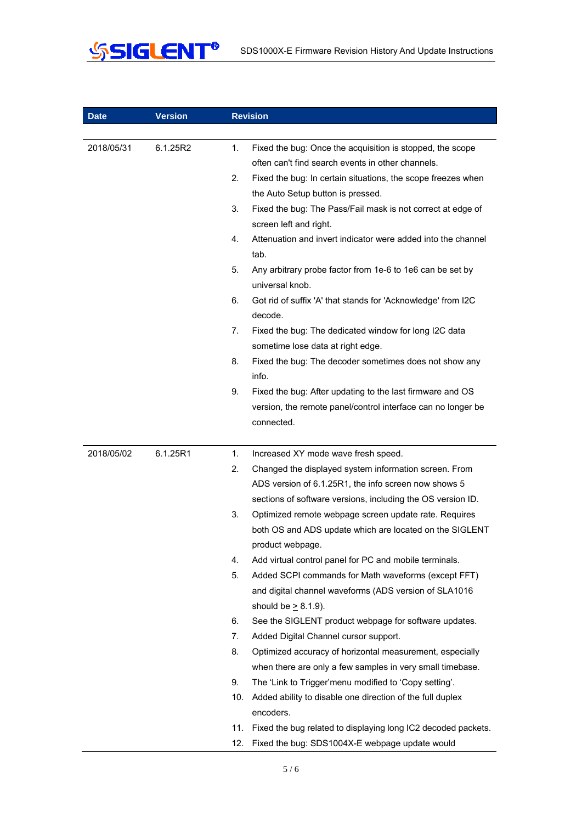

| <b>Date</b> | <b>Version</b> | <b>Revision</b>                                                                                                      |
|-------------|----------------|----------------------------------------------------------------------------------------------------------------------|
|             |                |                                                                                                                      |
| 2018/05/31  | 6.1.25R2       | 1.<br>Fixed the bug: Once the acquisition is stopped, the scope<br>often can't find search events in other channels. |
|             |                | 2.<br>Fixed the bug: In certain situations, the scope freezes when                                                   |
|             |                | the Auto Setup button is pressed.                                                                                    |
|             |                | 3.<br>Fixed the bug: The Pass/Fail mask is not correct at edge of                                                    |
|             |                | screen left and right.                                                                                               |
|             |                | Attenuation and invert indicator were added into the channel<br>4.                                                   |
|             |                | tab.                                                                                                                 |
|             |                | 5.<br>Any arbitrary probe factor from 1e-6 to 1e6 can be set by<br>universal knob.                                   |
|             |                | 6.<br>Got rid of suffix 'A' that stands for 'Acknowledge' from I2C<br>decode.                                        |
|             |                | 7.<br>Fixed the bug: The dedicated window for long I2C data                                                          |
|             |                | sometime lose data at right edge.                                                                                    |
|             |                | 8.<br>Fixed the bug: The decoder sometimes does not show any                                                         |
|             |                | info.                                                                                                                |
|             |                | 9.<br>Fixed the bug: After updating to the last firmware and OS                                                      |
|             |                | version, the remote panel/control interface can no longer be                                                         |
|             |                | connected.                                                                                                           |
|             |                |                                                                                                                      |
| 2018/05/02  | 6.1.25R1       | 1.<br>Increased XY mode wave fresh speed.                                                                            |
|             |                | 2.<br>Changed the displayed system information screen. From                                                          |
|             |                | ADS version of 6.1.25R1, the info screen now shows 5                                                                 |
|             |                | sections of software versions, including the OS version ID.                                                          |
|             |                | 3.<br>Optimized remote webpage screen update rate. Requires                                                          |
|             |                | both OS and ADS update which are located on the SIGLENT                                                              |
|             |                | product webpage.<br>4.<br>Add virtual control panel for PC and mobile terminals.                                     |
|             |                | Added SCPI commands for Math waveforms (except FFT)<br>5.                                                            |
|             |                | and digital channel waveforms (ADS version of SLA1016                                                                |
|             |                | should be $> 8.1.9$ ).                                                                                               |
|             |                | 6.<br>See the SIGLENT product webpage for software updates.                                                          |
|             |                | 7.<br>Added Digital Channel cursor support.                                                                          |
|             |                | 8.<br>Optimized accuracy of horizontal measurement, especially                                                       |
|             |                | when there are only a few samples in very small timebase.                                                            |
|             |                | 9.<br>The 'Link to Trigger'menu modified to 'Copy setting'.                                                          |
|             |                | 10.<br>Added ability to disable one direction of the full duplex                                                     |
|             |                | encoders.                                                                                                            |
|             |                | 11.<br>Fixed the bug related to displaying long IC2 decoded packets.                                                 |
|             |                | 12.<br>Fixed the bug: SDS1004X-E webpage update would                                                                |